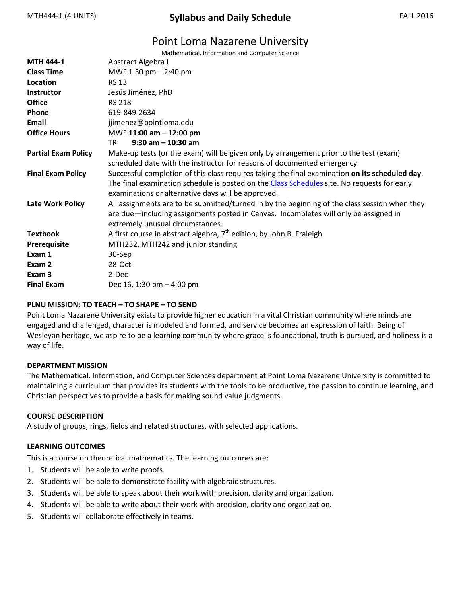# MTH444-1 (4 UNITS) **Syllabus and Daily Schedule** FALL 2016

# Point Loma Nazarene University

Mathematical, Information and Computer Science

| <b>MTH 444-1</b>           | Abstract Algebra I                                                                              |  |  |
|----------------------------|-------------------------------------------------------------------------------------------------|--|--|
| <b>Class Time</b>          | MWF 1:30 pm $- 2:40$ pm                                                                         |  |  |
| Location                   | <b>RS 13</b>                                                                                    |  |  |
| <b>Instructor</b>          | Jesús Jiménez, PhD                                                                              |  |  |
| <b>Office</b>              | <b>RS 218</b>                                                                                   |  |  |
| Phone                      | 619-849-2634                                                                                    |  |  |
| Email                      | jjimenez@pointloma.edu                                                                          |  |  |
| <b>Office Hours</b>        | MWF 11:00 am - 12:00 pm                                                                         |  |  |
|                            | $9:30$ am $-10:30$ am<br>TR                                                                     |  |  |
| <b>Partial Exam Policy</b> | Make-up tests (or the exam) will be given only by arrangement prior to the test (exam)          |  |  |
|                            | scheduled date with the instructor for reasons of documented emergency.                         |  |  |
| <b>Final Exam Policy</b>   | Successful completion of this class requires taking the final examination on its scheduled day. |  |  |
|                            | The final examination schedule is posted on the Class Schedules site. No requests for early     |  |  |
|                            | examinations or alternative days will be approved.                                              |  |  |
| <b>Late Work Policy</b>    | All assignments are to be submitted/turned in by the beginning of the class session when they   |  |  |
|                            | are due—including assignments posted in Canvas. Incompletes will only be assigned in            |  |  |
|                            | extremely unusual circumstances.                                                                |  |  |
| <b>Textbook</b>            | A first course in abstract algebra, $7th$ edition, by John B. Fraleigh                          |  |  |
| Prerequisite               | MTH232, MTH242 and junior standing                                                              |  |  |
| Exam 1                     | 30-Sep                                                                                          |  |  |
| Exam 2                     | $28-Oct$                                                                                        |  |  |
| Exam 3                     | 2-Dec                                                                                           |  |  |
| <b>Final Exam</b>          | Dec 16, 1:30 pm $-$ 4:00 pm                                                                     |  |  |

### **PLNU MISSION: TO TEACH – TO SHAPE – TO SEND**

Point Loma Nazarene University exists to provide higher education in a vital Christian community where minds are engaged and challenged, character is modeled and formed, and service becomes an expression of faith. Being of Wesleyan heritage, we aspire to be a learning community where grace is foundational, truth is pursued, and holiness is a way of life.

#### **DEPARTMENT MISSION**

The Mathematical, Information, and Computer Sciences department at Point Loma Nazarene University is committed to maintaining a curriculum that provides its students with the tools to be productive, the passion to continue learning, and Christian perspectives to provide a basis for making sound value judgments.

#### **COURSE DESCRIPTION**

A study of groups, rings, fields and related structures, with selected applications.

### **LEARNING OUTCOMES**

This is a course on theoretical mathematics. The learning outcomes are:

- 1. Students will be able to write proofs.
- 2. Students will be able to demonstrate facility with algebraic structures.
- 3. Students will be able to speak about their work with precision, clarity and organization.
- 4. Students will be able to write about their work with precision, clarity and organization.
- 5. Students will collaborate effectively in teams.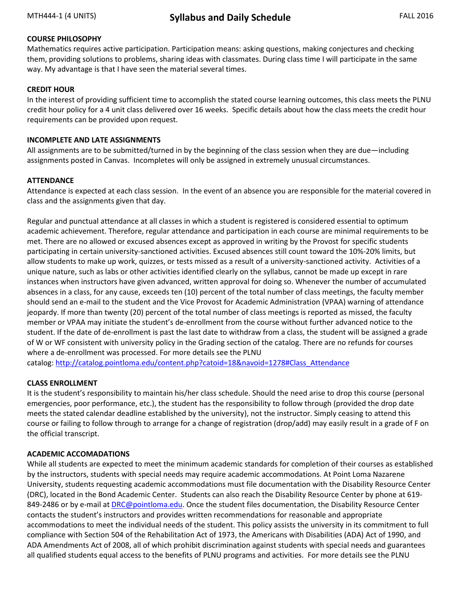# **COURSE PHILOSOPHY**

Mathematics requires active participation. Participation means: asking questions, making conjectures and checking them, providing solutions to problems, sharing ideas with classmates. During class time I will participate in the same way. My advantage is that I have seen the material several times.

### **CREDIT HOUR**

In the interest of providing sufficient time to accomplish the stated course learning outcomes, this class meets the PLNU credit hour policy for a 4 unit class delivered over 16 weeks. Specific details about how the class meets the credit hour requirements can be provided upon request.

### **INCOMPLETE AND LATE ASSIGNMENTS**

All assignments are to be submitted/turned in by the beginning of the class session when they are due—including assignments posted in Canvas. Incompletes will only be assigned in extremely unusual circumstances.

### **ATTENDANCE**

Attendance is expected at each class session. In the event of an absence you are responsible for the material covered in class and the assignments given that day.

Regular and punctual attendance at all classes in which a student is registered is considered essential to optimum academic achievement. Therefore, regular attendance and participation in each course are minimal requirements to be met. There are no allowed or excused absences except as approved in writing by the Provost for specific students participating in certain university-sanctioned activities. Excused absences still count toward the 10%-20% limits, but allow students to make up work, quizzes, or tests missed as a result of a university-sanctioned activity. Activities of a unique nature, such as labs or other activities identified clearly on the syllabus, cannot be made up except in rare instances when instructors have given advanced, written approval for doing so. Whenever the number of accumulated absences in a class, for any cause, exceeds ten (10) percent of the total number of class meetings, the faculty member should send an e-mail to the student and the Vice Provost for Academic Administration (VPAA) warning of attendance jeopardy. If more than twenty (20) percent of the total number of class meetings is reported as missed, the faculty member or VPAA may initiate the student's de-enrollment from the course without further advanced notice to the student. If the date of de-enrollment is past the last date to withdraw from a class, the student will be assigned a grade of W or WF consistent with university policy in the Grading section of the catalog. There are no refunds for courses where a de-enrollment was processed. For more details see the PLNU catalog: [http://catalog.pointloma.edu/content.php?catoid=18&navoid=1278#Class\\_Attendance](http://catalog.pointloma.edu/content.php?catoid=18&navoid=1278#Class_Attendance)

### **CLASS ENROLLMENT**

It is the student's responsibility to maintain his/her class schedule. Should the need arise to drop this course (personal emergencies, poor performance, etc.), the student has the responsibility to follow through (provided the drop date meets the stated calendar deadline established by the university), not the instructor. Simply ceasing to attend this course or failing to follow through to arrange for a change of registration (drop/add) may easily result in a grade of F on the official transcript.

## **ACADEMIC ACCOMADATIONS**

While all students are expected to meet the minimum academic standards for completion of their courses as established by the instructors, students with special needs may require academic accommodations. At Point Loma Nazarene University, students requesting academic accommodations must file documentation with the Disability Resource Center (DRC), located in the Bond Academic Center. Students can also reach the Disability Resource Center by phone at 619- 849-2486 or by e-mail at [DRC@pointloma.edu.](mailto:DRC@pointloma.edu) Once the student files documentation, the Disability Resource Center contacts the student's instructors and provides written recommendations for reasonable and appropriate accommodations to meet the individual needs of the student. This policy assists the university in its commitment to full compliance with Section 504 of the Rehabilitation Act of 1973, the Americans with Disabilities (ADA) Act of 1990, and ADA Amendments Act of 2008, all of which prohibit discrimination against students with special needs and guarantees all qualified students equal access to the benefits of PLNU programs and activities. For more details see the PLNU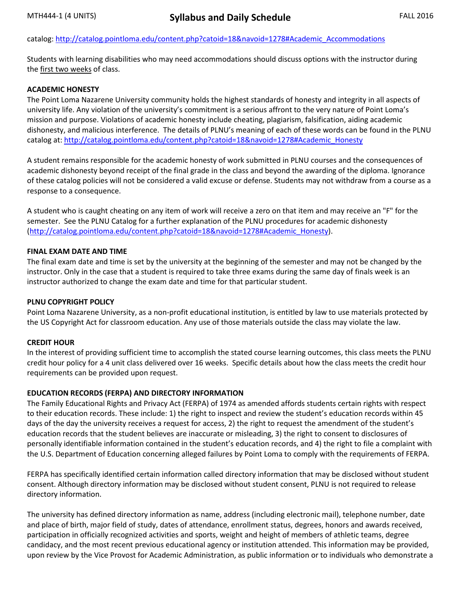### catalog: [http://catalog.pointloma.edu/content.php?catoid=18&navoid=1278#Academic\\_Accommodations](http://catalog.pointloma.edu/content.php?catoid=18&navoid=1278#Academic_Accommodations)

Students with learning disabilities who may need accommodations should discuss options with the instructor during the first two weeks of class.

#### **ACADEMIC HONESTY**

The Point Loma Nazarene University community holds the highest standards of honesty and integrity in all aspects of university life. Any violation of the university's commitment is a serious affront to the very nature of Point Loma's mission and purpose. Violations of academic honesty include cheating, plagiarism, falsification, aiding academic dishonesty, and malicious interference. The details of PLNU's meaning of each of these words can be found in the PLNU catalog at: [http://catalog.pointloma.edu/content.php?catoid=18&navoid=1278#Academic\\_Honesty](http://catalog.pointloma.edu/content.php?catoid=18&navoid=1278#Academic_Honesty)

A student remains responsible for the academic honesty of work submitted in PLNU courses and the consequences of academic dishonesty beyond receipt of the final grade in the class and beyond the awarding of the diploma. Ignorance of these catalog policies will not be considered a valid excuse or defense. Students may not withdraw from a course as a response to a consequence.

A student who is caught cheating on any item of work will receive a zero on that item and may receive an "F" for the semester. See the PLNU Catalog for a further explanation of the PLNU procedures for academic dishonesty [\(http://catalog.pointloma.edu/content.php?catoid=18&navoid=1278#Academic\\_Honesty\)](http://catalog.pointloma.edu/content.php?catoid=18&navoid=1278#Academic_Honesty).

#### **FINAL EXAM DATE AND TIME**

The final exam date and time is set by the university at the beginning of the semester and may not be changed by the instructor. Only in the case that a student is required to take three exams during the same day of finals week is an instructor authorized to change the exam date and time for that particular student.

#### **PLNU COPYRIGHT POLICY**

Point Loma Nazarene University, as a non-profit educational institution, is entitled by law to use materials protected by the US Copyright Act for classroom education. Any use of those materials outside the class may violate the law.

### **CREDIT HOUR**

In the interest of providing sufficient time to accomplish the stated course learning outcomes, this class meets the PLNU credit hour policy for a 4 unit class delivered over 16 weeks. Specific details about how the class meets the credit hour requirements can be provided upon request.

### **EDUCATION RECORDS (FERPA) AND DIRECTORY INFORMATION**

The Family Educational Rights and Privacy Act (FERPA) of 1974 as amended affords students certain rights with respect to their education records. These include: 1) the right to inspect and review the student's education records within 45 days of the day the university receives a request for access, 2) the right to request the amendment of the student's education records that the student believes are inaccurate or misleading, 3) the right to consent to disclosures of personally identifiable information contained in the student's education records, and 4) the right to file a complaint with the U.S. Department of Education concerning alleged failures by Point Loma to comply with the requirements of FERPA.

FERPA has specifically identified certain information called directory information that may be disclosed without student consent. Although directory information may be disclosed without student consent, PLNU is not required to release directory information.

The university has defined directory information as name, address (including electronic mail), telephone number, date and place of birth, major field of study, dates of attendance, enrollment status, degrees, honors and awards received, participation in officially recognized activities and sports, weight and height of members of athletic teams, degree candidacy, and the most recent previous educational agency or institution attended. This information may be provided, upon review by the Vice Provost for Academic Administration, as public information or to individuals who demonstrate a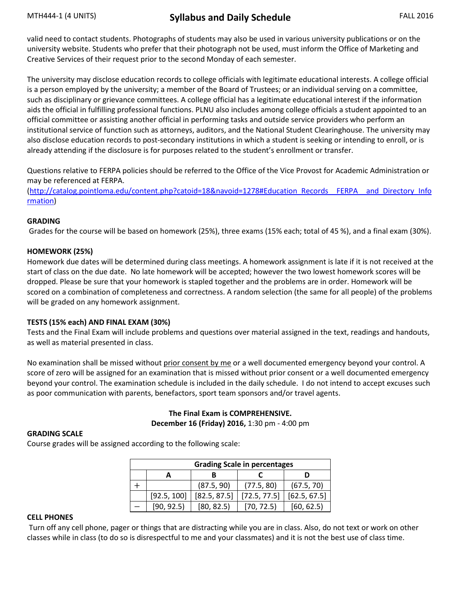# MTH444-1 (4 UNITS) **Syllabus and Daily Schedule** FALL 2016

valid need to contact students. Photographs of students may also be used in various university publications or on the university website. Students who prefer that their photograph not be used, must inform the Office of Marketing and Creative Services of their request prior to the second Monday of each semester.

The university may disclose education records to college officials with legitimate educational interests. A college official is a person employed by the university; a member of the Board of Trustees; or an individual serving on a committee, such as disciplinary or grievance committees. A college official has a legitimate educational interest if the information aids the official in fulfilling professional functions. PLNU also includes among college officials a student appointed to an official committee or assisting another official in performing tasks and outside service providers who perform an institutional service of function such as attorneys, auditors, and the National Student Clearinghouse. The university may also disclose education records to post-secondary institutions in which a student is seeking or intending to enroll, or is already attending if the disclosure is for purposes related to the student's enrollment or transfer.

Questions relative to FERPA policies should be referred to the Office of the Vice Provost for Academic Administration or may be referenced at FERPA.

[\(http://catalog.pointloma.edu/content.php?catoid=18&navoid=1278#Education\\_Records\\_\\_FERPA\\_\\_and\\_Directory\\_Info](http://catalog.pointloma.edu/content.php?catoid=18&navoid=1278#Education_Records__FERPA__and_Directory_Information) [rmation\)](http://catalog.pointloma.edu/content.php?catoid=18&navoid=1278#Education_Records__FERPA__and_Directory_Information)

### **GRADING**

Grades for the course will be based on homework (25%), three exams (15% each; total of 45 %), and a final exam (30%).

#### **HOMEWORK (25%)**

Homework due dates will be determined during class meetings. A homework assignment is late if it is not received at the start of class on the due date. No late homework will be accepted; however the two lowest homework scores will be dropped. Please be sure that your homework is stapled together and the problems are in order. Homework will be scored on a combination of completeness and correctness. A random selection (the same for all people) of the problems will be graded on any homework assignment.

#### **TESTS (15% each) AND FINAL EXAM (30%)**

Tests and the Final Exam will include problems and questions over material assigned in the text, readings and handouts, as well as material presented in class.

No examination shall be missed without prior consent by me or a well documented emergency beyond your control. A score of zero will be assigned for an examination that is missed without prior consent or a well documented emergency beyond your control. The examination schedule is included in the daily schedule. I do not intend to accept excuses such as poor communication with parents, benefactors, sport team sponsors and/or travel agents.

### **The Final Exam is COMPREHENSIVE. December 16 (Friday) 2016,** 1:30 pm - 4:00 pm

#### **GRADING SCALE**

Course grades will be assigned according to the following scale:

| <b>Grading Scale in percentages</b> |             |              |              |              |  |  |  |
|-------------------------------------|-------------|--------------|--------------|--------------|--|--|--|
|                                     |             |              |              |              |  |  |  |
|                                     |             | (87.5, 90)   | (77.5, 80)   | (67.5, 70)   |  |  |  |
|                                     | [92.5, 100] | [82.5, 87.5] | [72.5, 77.5] | [62.5, 67.5] |  |  |  |
|                                     | [90, 92.5]  | [80, 82.5]   | [70, 72.5]   | [60, 62.5]   |  |  |  |

#### **CELL PHONES**

Turn off any cell phone, pager or things that are distracting while you are in class. Also, do not text or work on other classes while in class (to do so is disrespectful to me and your classmates) and it is not the best use of class time.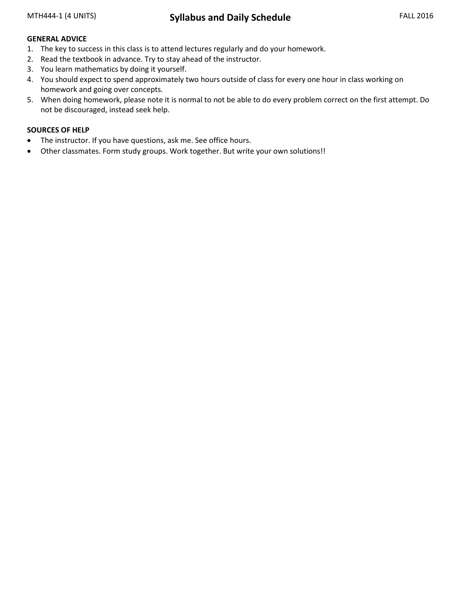### **GENERAL ADVICE**

- 1. The key to success in this class is to attend lectures regularly and do your homework.
- 2. Read the textbook in advance. Try to stay ahead of the instructor.
- 3. You learn mathematics by doing it yourself.
- 4. You should expect to spend approximately two hours outside of class for every one hour in class working on homework and going over concepts.
- 5. When doing homework, please note it is normal to not be able to do every problem correct on the first attempt. Do not be discouraged, instead seek help.

### **SOURCES OF HELP**

- The instructor. If you have questions, ask me. See office hours.
- Other classmates. Form study groups. Work together. But write your own solutions!!